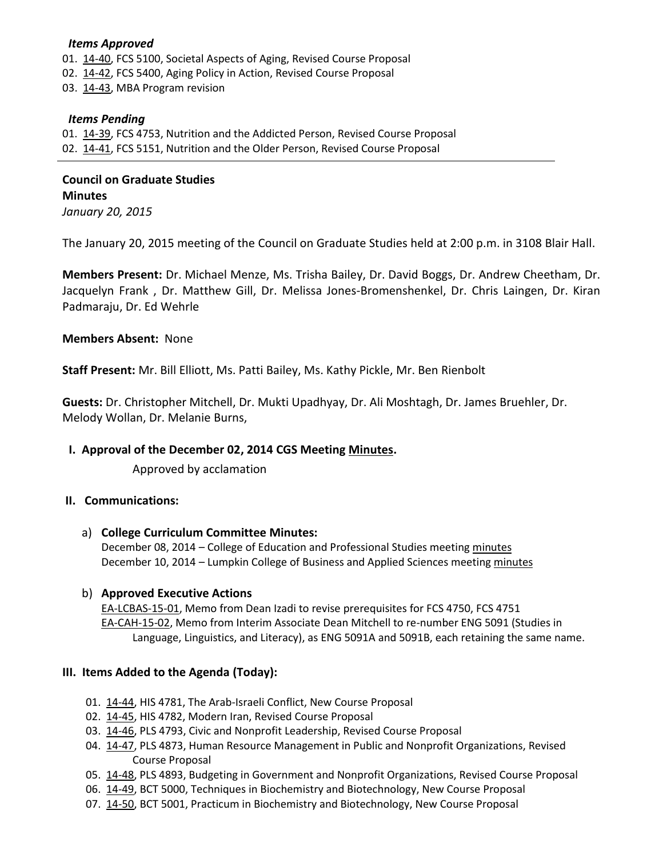### *Items Approved*

- 01. [14-40,](http://castle.eiu.edu/~eiucgs/currentagendaitems/agenda14-40.pdf) FCS 5100, Societal Aspects of Aging, Revised Course Proposal
- 02. [14-42,](http://castle.eiu.edu/~eiucgs/currentagendaitems/agenda14-42.pdf) FCS 5400, Aging Policy in Action, Revised Course Proposal
- 03. [14-43,](http://castle.eiu.edu/~eiucgs/currentagendaitems/agenda14-43.pdf) MBA Program revision

## *Items Pending*

01. [14-39,](http://castle.eiu.edu/~eiucgs/currentagendaitems/agenda14-39.pdf) FCS 4753, Nutrition and the Addicted Person, Revised Course Proposal 02. [14-41,](http://castle.eiu.edu/~eiucgs/currentagendaitems/agenda14-41.pdf) FCS 5151, Nutrition and the Older Person, Revised Course Proposal

֖֖֖֖֖֚֚֚֚֚֚֬

**Council on Graduate Studies Minutes**  *January 20, 2015* 

The January 20, 2015 meeting of the Council on Graduate Studies held at 2:00 p.m. in 3108 Blair Hall.

**Members Present:** Dr. Michael Menze, Ms. Trisha Bailey, Dr. David Boggs, Dr. Andrew Cheetham, Dr. Jacquelyn Frank , Dr. Matthew Gill, Dr. Melissa Jones-Bromenshenkel, Dr. Chris Laingen, Dr. Kiran Padmaraju, Dr. Ed Wehrle

## **Members Absent:** None

**Staff Present:** Mr. Bill Elliott, Ms. Patti Bailey, Ms. Kathy Pickle, Mr. Ben Rienbolt

**Guests:** Dr. Christopher Mitchell, Dr. Mukti Upadhyay, Dr. Ali Moshtagh, Dr. James Bruehler, Dr. Melody Wollan, Dr. Melanie Burns,

# **I. Approval of the December 02, 2014 CGS Meeting [Minutes.](http://castle.eiu.edu/eiucgs/currentminutes/Minutes12-02-14.pdf)**

Approved by acclamation

#### **II. Communications:**

a) **College Curriculum Committee Minutes:**

December 08, 2014 – College of Education and Professional Studies meetin[g minutes](http://castle.eiu.edu/~eiucgs/currentagendaitems/CEPSMin12-08-14.pdf) December 10, 2014 – Lumpkin College of Business and Applied Sciences meeting [minutes](http://castle.eiu.edu/~eiucgs/currentagendaitems/LCBASMin12-10-14.pdf)

#### b) **Approved Executive Actions**

[EA-LCBAS-15-01,](http://castle.eiu.edu/~eiucgs/exec-actions/EA-LCBAS-15-01.pdf) Memo from Dean Izadi to revise prerequisites for FCS 4750, FCS 4751 [EA-CAH-15-02,](http://castle.eiu.edu/~eiucgs/exec-actions/EA-CAH-15-02.pdf) Memo from Interim Associate Dean Mitchell to re-number ENG 5091 (Studies in Language, Linguistics, and Literacy), as ENG 5091A and 5091B, each retaining the same name.

#### **III. Items Added to the Agenda (Today):**

- 01. [14-44,](http://castle.eiu.edu/~eiucgs/currentagendaitems/agenda14-44.pdf) HIS 4781, The Arab-Israeli Conflict, New Course Proposal
- 02. [14-45,](http://castle.eiu.edu/~eiucgs/currentagendaitems/agenda14-45.pdf) HIS 4782, Modern Iran, Revised Course Proposal
- 03. [14-46,](http://castle.eiu.edu/~eiucgs/currentagendaitems/agenda14-46.pdf) PLS 4793, Civic and Nonprofit Leadership, Revised Course Proposal
- 04. [14-47,](http://castle.eiu.edu/~eiucgs/currentagendaitems/agenda14-47.pdf) PLS 4873, Human Resource Management in Public and Nonprofit Organizations, Revised Course Proposal
- 05. [14-48,](http://castle.eiu.edu/~eiucgs/currentagendaitems/agenda14-48.pdf) PLS 4893, Budgeting in Government and Nonprofit Organizations, Revised Course Proposal
- 06. [14-49,](http://castle.eiu.edu/~eiucgs/currentagendaitems/agenda14-49.pdf) BCT 5000, Techniques in Biochemistry and Biotechnology, New Course Proposal
- 07. [14-50,](http://castle.eiu.edu/~eiucgs/currentagendaitems/agenda14-50.pdf) BCT 5001, Practicum in Biochemistry and Biotechnology, New Course Proposal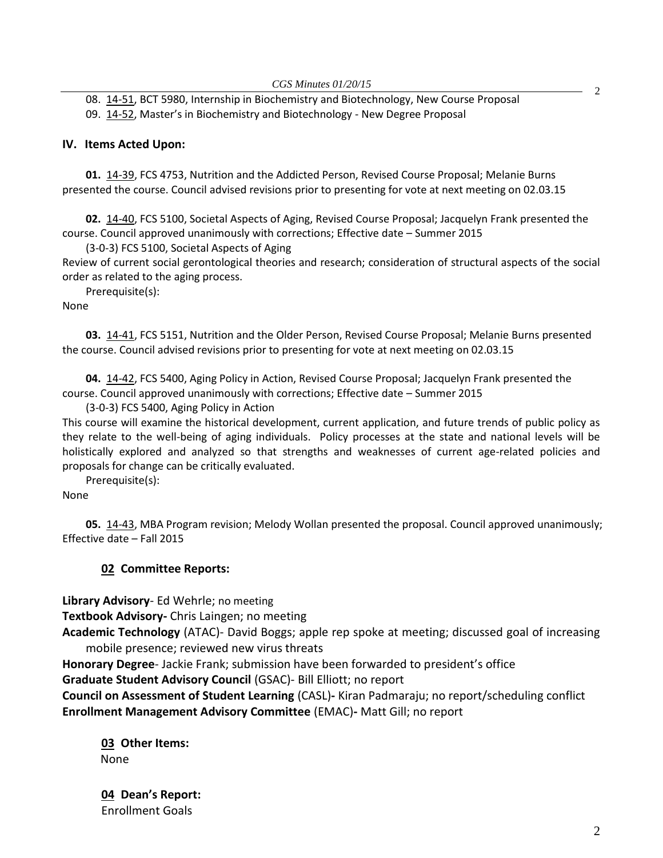08. [14-51,](http://castle.eiu.edu/~eiucgs/currentagendaitems/agenda14-51.pdf) BCT 5980, Internship in Biochemistry and Biotechnology, New Course Proposal

09. [14-52](http://castle.eiu.edu/~eiucgs/currentagendaitems/agenda14-52.pdf), Master's in Biochemistry and Biotechnology - New Degree Proposal

## **IV. Items Acted Upon:**

**01.** [14-39,](http://castle.eiu.edu/~eiucgs/currentagendaitems/agenda14-39.pdf) FCS 4753, Nutrition and the Addicted Person, Revised Course Proposal; Melanie Burns presented the course. Council advised revisions prior to presenting for vote at next meeting on 02.03.15

**02.** [14-40,](http://castle.eiu.edu/~eiucgs/currentagendaitems/agenda14-40.pdf) FCS 5100, Societal Aspects of Aging, Revised Course Proposal; Jacquelyn Frank presented the course. Council approved unanimously with corrections; Effective date – Summer 2015

(3-0-3) FCS 5100, Societal Aspects of Aging

Review of current social gerontological theories and research; consideration of structural aspects of the social order as related to the aging process.

Prerequisite(s):

None

**03.** [14-41,](http://castle.eiu.edu/~eiucgs/currentagendaitems/agenda14-41.pdf) FCS 5151, Nutrition and the Older Person, Revised Course Proposal; Melanie Burns presented the course. Council advised revisions prior to presenting for vote at next meeting on 02.03.15

**04.** [14-42,](http://castle.eiu.edu/~eiucgs/currentagendaitems/agenda14-42.pdf) FCS 5400, Aging Policy in Action, Revised Course Proposal; Jacquelyn Frank presented the course. Council approved unanimously with corrections; Effective date – Summer 2015

(3-0-3) FCS 5400, Aging Policy in Action

This course will examine the historical development, current application, and future trends of public policy as they relate to the well-being of aging individuals. Policy processes at the state and national levels will be holistically explored and analyzed so that strengths and weaknesses of current age-related policies and proposals for change can be critically evaluated.

Prerequisite(s):

None

**05.** [14-43,](http://castle.eiu.edu/~eiucgs/currentagendaitems/agenda14-43.pdf) MBA Program revision; Melody Wollan presented the proposal. Council approved unanimously; Effective date – Fall 2015

# **02 Committee Reports:**

**Library Advisory**- Ed Wehrle; no meeting

**Textbook Advisory-** Chris Laingen; no meeting

**Academic Technology** (ATAC)- David Boggs; apple rep spoke at meeting; discussed goal of increasing mobile presence; reviewed new virus threats

**Honorary Degree**- Jackie Frank; submission have been forwarded to president's office

**Graduate Student Advisory Council** (GSAC)- Bill Elliott; no report

**Council on Assessment of Student Learning** (CASL)**-** Kiran Padmaraju; no report/scheduling conflict **Enrollment Management Advisory Committee** (EMAC)**-** Matt Gill; no report

**03 Other Items:**  None

**04 Dean's Report:** Enrollment Goals

2